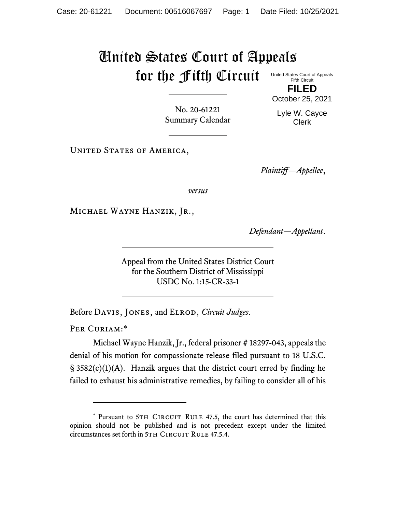## United States Court of Appeals for the Fifth Circuit United States Court of Appeals

Fifth Circuit **FILED**

No. 20-61221 Summary Calendar Lyle W. Cayce Clerk

October 25, 2021

UNITED STATES OF AMERICA,

*Plaintiff—Appellee*,

*versus*

Michael Wayne Hanzik, Jr.,

*Defendant—Appellant*.

Appeal from the United States District Court for the Southern District of Mississippi USDC No. 1:15-CR-33-1

Before Davis, Jones, and Elrod, *Circuit Judges*.

PER CURIAM:\*

Michael Wayne Hanzik, Jr., federal prisoner # 18297-043, appeals the denial of his motion for compassionate release filed pursuant to 18 U.S.C.  $\S$  3582(c)(1)(A). Hanzik argues that the district court erred by finding he failed to exhaust his administrative remedies, by failing to consider all of his

<sup>\*</sup> Pursuant to 5TH CIRCUIT RULE 47.5, the court has determined that this opinion should not be published and is not precedent except under the limited circumstances set forth in 5TH CIRCUIT RULE 47.5.4.